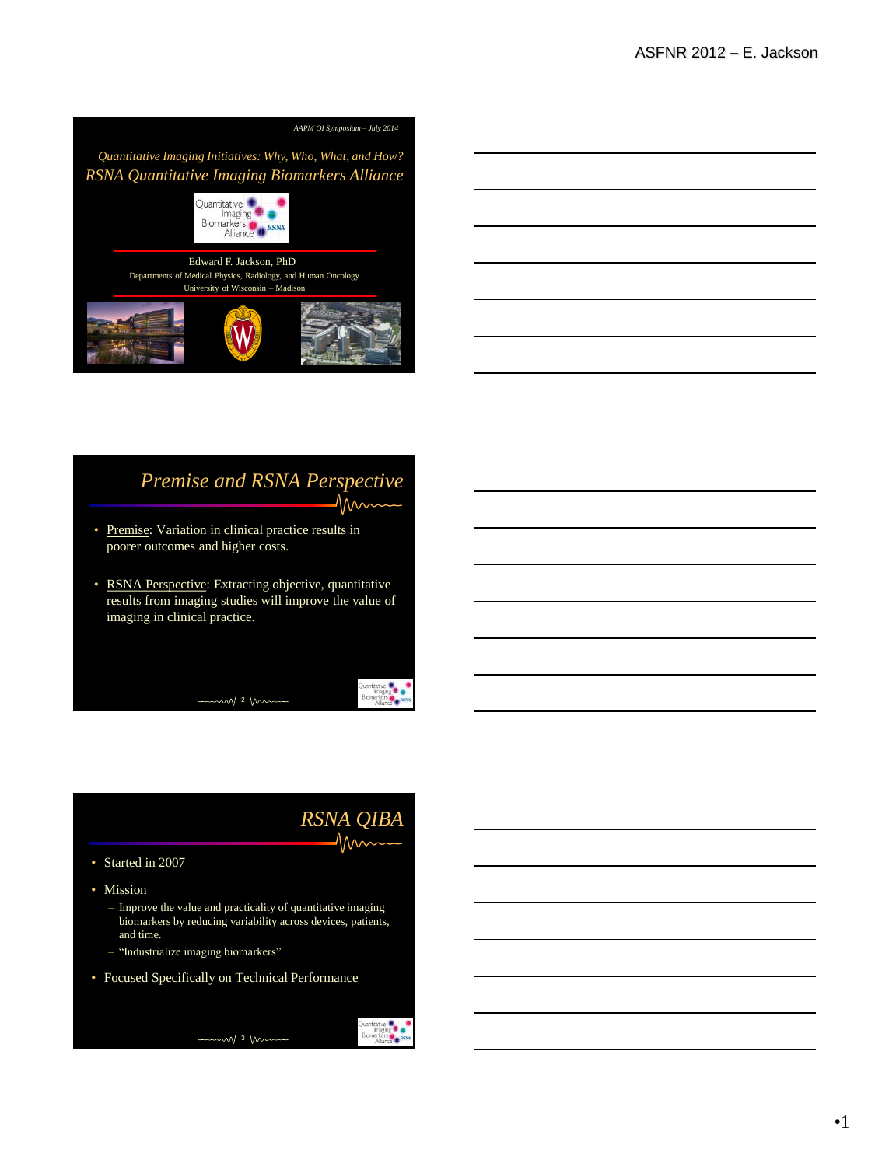

#### *Premise and RSNA Perspective* nn

- Premise: Variation in clinical practice results in poorer outcomes and higher costs.
- RSNA Perspective: Extracting objective, quantitative results from imaging studies will improve the value of imaging in clinical practice.

 $-$  2 m

### *RSNA QIBA* 1mm

**Example 19**<br>Biomarkers<br>Aliance

ers<br>ance

- Started in 2007
- Mission
	- Improve the value and practicality of quantitative imaging biomarkers by reducing variability across devices, patients, and time.
	- "Industrialize imaging biomarkers"
- Focused Specifically on Technical Performance



•1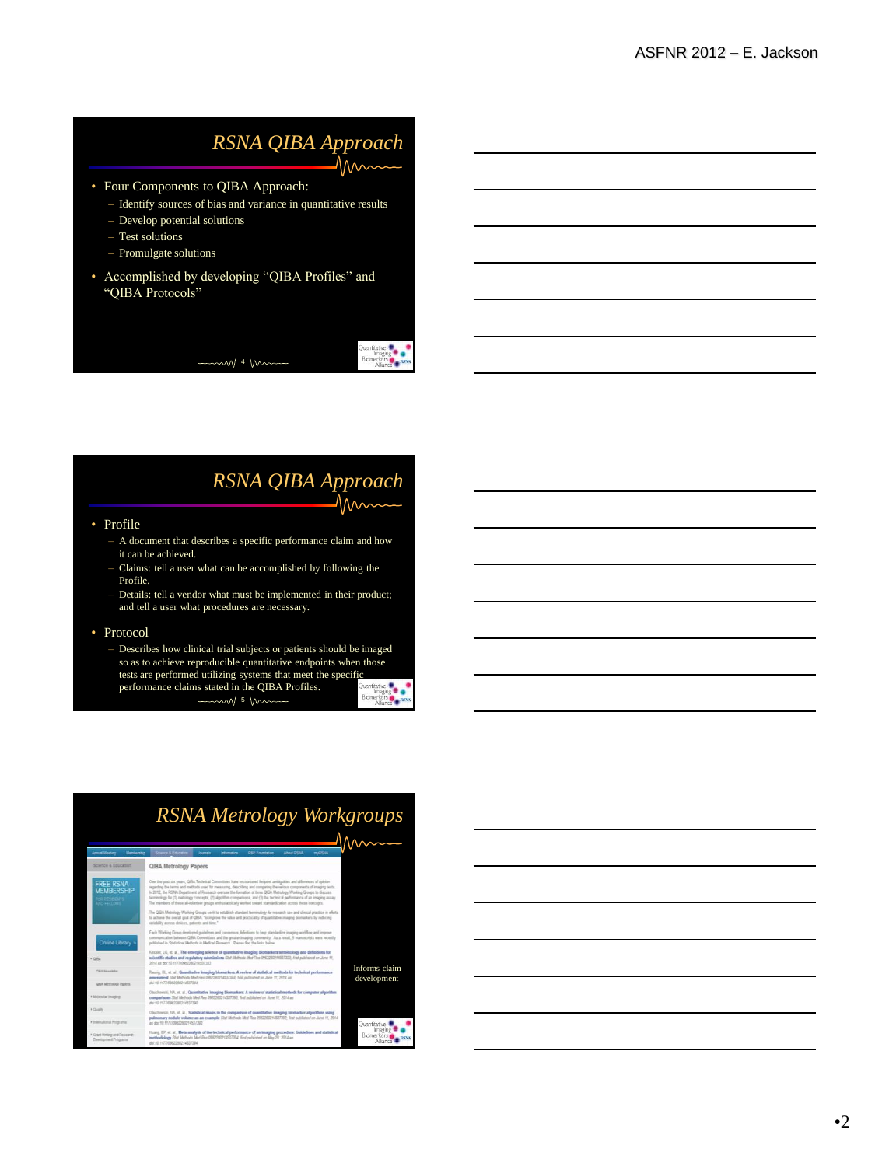#### *RSNA QIBA Approach*  $\Lambda$ ۸л $\sim$

- Four Components to QIBA Approach:
	- Identify sources of bias and variance in quantitative results
	- Develop potential solutions
	- Test solutions
	- Promulgate solutions
- Accomplished by developing "QIBA Profiles" and "QIBA Protocols"

 $\sim$  4 m

### *RSNA QIBA Approach* 1 Nm

#### • Profile

- A document that describes a specific performance claim and how it can be achieved.
- Claims: tell a user what can be accomplished by following the Profile.
- Details: tell a vendor what must be implemented in their product; and tell a user what procedures are necessary.

#### • Protocol

– Describes how clinical trial subjects or patients should be imaged so as to achieve reproducible quantitative endpoints when those tests are performed utilizing systems that meet the specific performance claims stated in the QIBA Profiles.  $-$  5 m Biomarkers  $\overline{\phantom{a}}$ 

### *RSNA Metrology Workgroups*

| <b>Armust Meeting</b>                                                     | Membership                                                                                                                                                                                                                                   | Scores & Education - Journals                                                                                                                                                                                                                                                                                                                                                                                                                                                                                                                                                                                                                                                                                                                                                                                                                                             |  | lebenstics.                       | <b>R&amp;F Foundation</b>    | About RSNA | mASIA. |              |
|---------------------------------------------------------------------------|----------------------------------------------------------------------------------------------------------------------------------------------------------------------------------------------------------------------------------------------|---------------------------------------------------------------------------------------------------------------------------------------------------------------------------------------------------------------------------------------------------------------------------------------------------------------------------------------------------------------------------------------------------------------------------------------------------------------------------------------------------------------------------------------------------------------------------------------------------------------------------------------------------------------------------------------------------------------------------------------------------------------------------------------------------------------------------------------------------------------------------|--|-----------------------------------|------------------------------|------------|--------|--------------|
| Science & Education                                                       |                                                                                                                                                                                                                                              | QIBA Metrology Papers                                                                                                                                                                                                                                                                                                                                                                                                                                                                                                                                                                                                                                                                                                                                                                                                                                                     |  |                                   |                              |            |        |              |
| <b>FREE RSNA</b><br><b>MEMBERSHIP</b><br><b>CO DESENTS</b><br>AND FELLOWS |                                                                                                                                                                                                                                              | Over the past nix years. QBA Technical Committees have encountered frequent ambiguities and differences of opinion<br>regarding the terms and methods used for measuring, describing and comparing the various components of imaging texts.<br>In 2012 the RSNA Department of Research oversaw the formation of three QIBA Metrology Working Groups to discuss<br>terminology for (1) metrolsey concepts. (2) algorithm comparisons, and (3) the technical performance of an inseging assay.<br>The members of these all-otioniner groups enthusiastically worked toward standardization across these concepts.<br>The QBA Metrology Working Groups seek to establish standard terminology for research use and clinical practice in efforts<br>to achieve the overall goal of QEA. 'to improve the value and practicality of quantitative imaging biomarkers by reducing |  |                                   |                              |            |        |              |
| Online Library »<br>$+$ 0818                                              |                                                                                                                                                                                                                                              | variability across devices, patients and time."<br>Each Working Group developed quidelines and consensus defeitions to help standardize imaging worldlow and improve<br>communication between QISA Committees and the greater imaging community. As a result, 5 manuscripts were recently<br>published in Statistical Melbody in Medical Research. Please find the links below.<br>Kenzier, LG, et. al., The emerging science of quantitative imaging biomarkers terminology and definitions for<br>scientific studies and regulatory submissions Stat Methods Med Res 0002202214537223. first published on June 11.                                                                                                                                                                                                                                                      |  |                                   |                              |            |        |              |
| ORL Newsletter<br><b>QBA Metrology Papers</b>                             |                                                                                                                                                                                                                                              | 2014 as do 10 1177/09/2202214537333<br>Ramiz DL et al. Quantitative imaging biomarkers: A review of statistical methods for technical performance<br>assessment Stat Methods Med Rea 0962293214537344, first published on June 11, 2014 as<br>du: 10.1177/0982280214537344                                                                                                                                                                                                                                                                                                                                                                                                                                                                                                                                                                                                |  |                                   | Informs claim<br>development |            |        |              |
| · Molecular Insackho                                                      |                                                                                                                                                                                                                                              | Cluchnesli: NA, et. al., Quantitative imaging biomarkers: A review of statistical methods for computer algorithm<br>comparisons Stat Methods Med Res 0962280214537390, first published on June 11, 2014 as<br>dy 10 1177/09/200014537393                                                                                                                                                                                                                                                                                                                                                                                                                                                                                                                                                                                                                                  |  |                                   |                              |            |        |              |
| * Quality<br>* International Programs                                     |                                                                                                                                                                                                                                              | Chuchowshi, 103, et. al., Statistical issues in the comparison of quantitative imaging biomarker algorithms using<br>pulmonary nodule volume as an example Stat Methods Med Rea 0902200214537392. Inst published on June 11, 2014<br>as div 10 1177/00622982214537282                                                                                                                                                                                                                                                                                                                                                                                                                                                                                                                                                                                                     |  |                                   |                              |            |        | Ouantitative |
| A Crant Writing and Research<br>Development Programs                      | Huaro, EP. et. al., Meta-analysis of the technical performance of an imaging procedure: Guidelines and statistical<br>methodology Stat Methods Med Rue 0082202214537394, first published on May 28, 2014 as<br>doi:10.11777/0982280214537394 |                                                                                                                                                                                                                                                                                                                                                                                                                                                                                                                                                                                                                                                                                                                                                                                                                                                                           |  | Imaging<br>Biomarkers<br>Alliance |                              |            |        |              |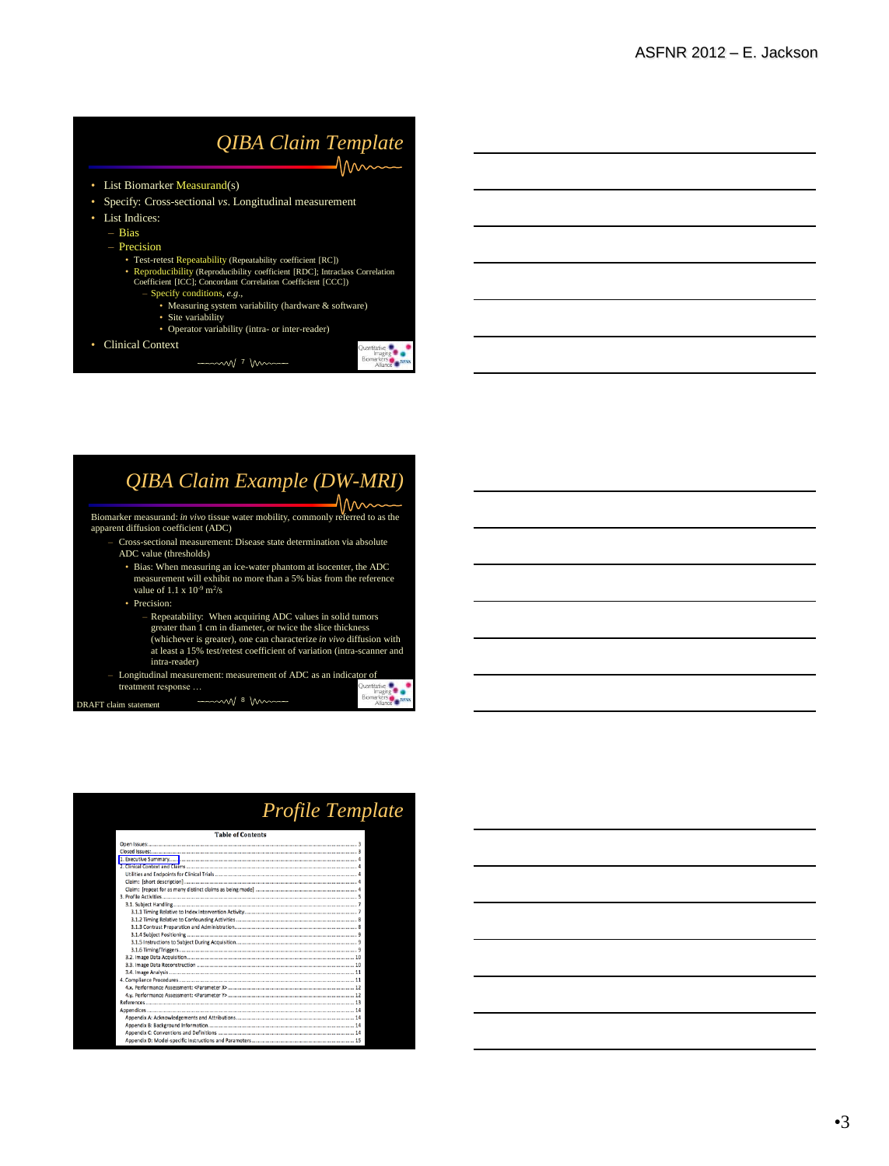### *QIBA Claim Template*  $\mathcal{M}_{\mathcal{M}}$

- List Biomarker Measurand(s)
- Specify: Cross-sectional *vs*. Longitudinal measurement
- List Indices:
	- Bias
	- Precision
		-
		- Test-retest Repeatability (Repeatability coefficient [RC]) Reproducibility (Reproducibility coefficient [RDC]; Intraclass Correlation Coefficient [ICC]; Concordant Correlation Coefficient [CCC])
			-
			- Specify conditions, *e.g*., Measuring system variability (hardware & software)
				- Site variability

 $\overline{\phantom{0}}$ 

- Operator variability (intra- or inter-reader)
- Clinical Context

 $m$  $\sqrt{7}$  mm

### *QIBA Claim Example (DW-MRI)*

1nm Biomarker measurand: *in vivo* tissue water mobility, commonly referred to as the apparent diffusion coefficient (ADC)

- Cross-sectional measurement: Disease state determination via absolute ADC value (thresholds)
	- Bias: When measuring an ice-water phantom at isocenter, the ADC measurement will exhibit no more than a 5% bias from the reference value of  $1.1 \times 10^{-9}$  m<sup>2</sup>/s
	- Precision:
		- Repeatability: When acquiring ADC values in solid tumors

m/ 8 km

. .

- greater than 1 cm in diameter, or twice the slice thickness (whichever is greater), one can characterize *in vivo* diffusion with at least a 15% test/retest coefficient of variation (intra-scanner and
- intra-reader) Longitudinal measurement: measurement of ADC as an indicator of treatment response  $\frac{Q_{\text{analytic}}}{\text{image}}$ treatment response …

DRAFT claim statement

## *Profile Template* **Table of Content**

Biomarkers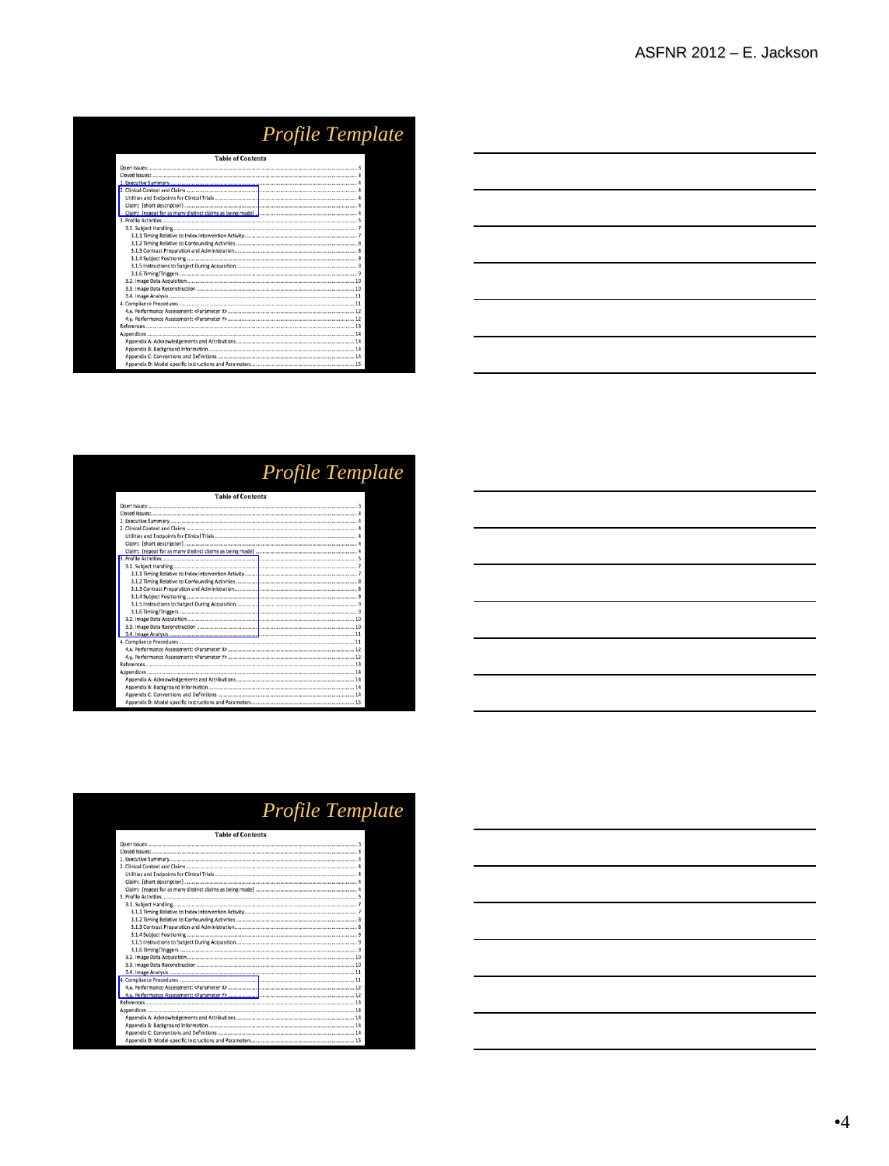| <i>Profile Template</i>  |  |
|--------------------------|--|
| <b>Table of Contents</b> |  |
|                          |  |
|                          |  |
|                          |  |
|                          |  |
|                          |  |
|                          |  |
|                          |  |
|                          |  |
|                          |  |
|                          |  |
|                          |  |
|                          |  |
|                          |  |
|                          |  |
|                          |  |
|                          |  |
|                          |  |
|                          |  |
|                          |  |
|                          |  |
|                          |  |
|                          |  |
|                          |  |
|                          |  |
|                          |  |
|                          |  |
|                          |  |

| $\frac{1}{2} \left( \frac{1}{2} \right) \left( \frac{1}{2} \right) \left( \frac{1}{2} \right) \left( \frac{1}{2} \right) \left( \frac{1}{2} \right) \left( \frac{1}{2} \right) \left( \frac{1}{2} \right) \left( \frac{1}{2} \right) \left( \frac{1}{2} \right) \left( \frac{1}{2} \right) \left( \frac{1}{2} \right) \left( \frac{1}{2} \right) \left( \frac{1}{2} \right) \left( \frac{1}{2} \right) \left( \frac{1}{2} \right) \left( \frac{1}{2} \right) \left( \frac$ |       |
|----------------------------------------------------------------------------------------------------------------------------------------------------------------------------------------------------------------------------------------------------------------------------------------------------------------------------------------------------------------------------------------------------------------------------------------------------------------------------|-------|
|                                                                                                                                                                                                                                                                                                                                                                                                                                                                            |       |
|                                                                                                                                                                                                                                                                                                                                                                                                                                                                            |       |
| and the state of the state of the<br>,我们也不会有什么。""我们的人,我们也不会有什么?""我们的人,我们也不会有什么?""我们的人,我们也不会有什么?""我们的人,我们也不会有什么?""我们的人                                                                                                                                                                                                                                                                                                                                                      | _____ |
|                                                                                                                                                                                                                                                                                                                                                                                                                                                                            |       |
|                                                                                                                                                                                                                                                                                                                                                                                                                                                                            |       |

| <i>Profile Template</i>  |
|--------------------------|
| <b>Table of Contents</b> |
|                          |
|                          |
|                          |
|                          |
|                          |
|                          |
|                          |
|                          |
|                          |
|                          |
|                          |
|                          |
|                          |
|                          |
|                          |
|                          |
|                          |
|                          |
|                          |
|                          |
|                          |
|                          |
|                          |
|                          |
|                          |
|                          |
|                          |

| <u> 1989 - Andrea Station Barbara, actor a component de la componentación de la componentación de la componentaci</u> |  |  |  |
|-----------------------------------------------------------------------------------------------------------------------|--|--|--|
|                                                                                                                       |  |  |  |
| <u> 1989 - Andrea Stadt Britain, amerikansk politik (d. 1989)</u>                                                     |  |  |  |
| <u> 1989 - Andrea State Barbara, amerikan personal di sebagai personal di sebagai personal di sebagai personal di</u> |  |  |  |
| <u> 1989 - Johann Stoff, amerikansk politiker (d. 1989)</u>                                                           |  |  |  |
|                                                                                                                       |  |  |  |
|                                                                                                                       |  |  |  |

| <b>Table of Contents</b> |
|--------------------------|
|                          |
|                          |
|                          |
|                          |
|                          |
|                          |
|                          |
|                          |
|                          |
|                          |
|                          |
|                          |
|                          |
|                          |
|                          |
|                          |
|                          |
|                          |
|                          |
|                          |
|                          |
|                          |
|                          |
|                          |
|                          |
|                          |
|                          |

### *Profile Template*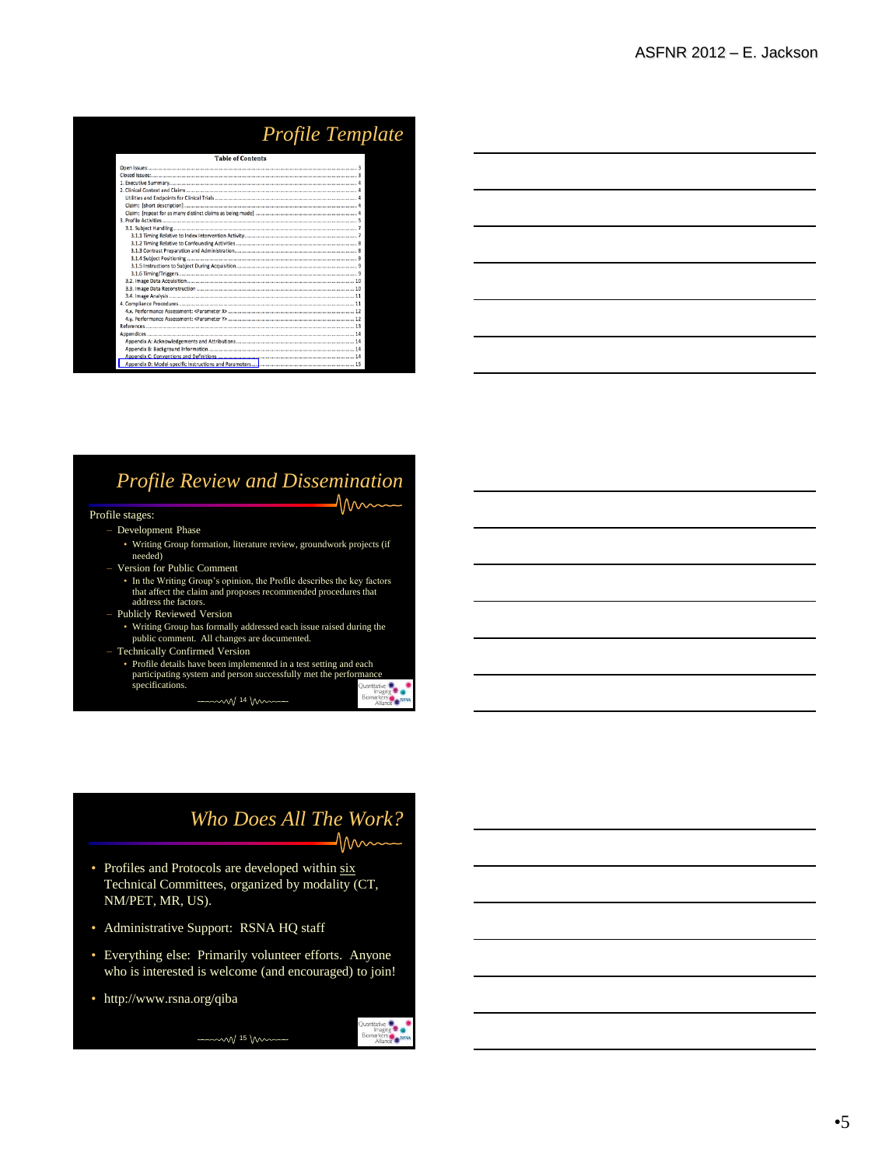| Profile Template         |  |
|--------------------------|--|
| <b>Table of Contents</b> |  |
|                          |  |
|                          |  |
|                          |  |
|                          |  |
|                          |  |
|                          |  |
|                          |  |
|                          |  |
|                          |  |
|                          |  |
|                          |  |
|                          |  |
|                          |  |
|                          |  |
|                          |  |
|                          |  |
|                          |  |
|                          |  |
|                          |  |
|                          |  |
|                          |  |
|                          |  |
|                          |  |
|                          |  |
|                          |  |
|                          |  |
|                          |  |

### *Profile Review and Dissemination* nnn

#### Profile stages:

- Development Phase
	- Writing Group formation, literature review, groundwork projects (if needed)
- Version for Public Comment
	- In the Writing Group's opinion, the Profile describes the key factors that affect the claim and proposes recommended procedures that address the factors.
- Publicly Reviewed Version
- Writing Group has formally addressed each issue raised during the public comment. All changes are documented. – Technically Confirmed Version
- 
- Profile details have been implemented in a test setting and each participating system and person successfully met the performance specifications. arkers

 $-$  14 m

### *Who Does All The Work?*

 $M_{\rm w}$ 

- Profiles and Protocols are developed within six Technical Committees, organized by modality (CT, NM/PET, MR, US).
- Administrative Support: RSNA HQ staff
- Everything else: Primarily volunteer efforts. Anyone who is interested is welcome (and encouraged) to join!

 $\sim$  15 Mm

• http://www.rsna.org/qiba

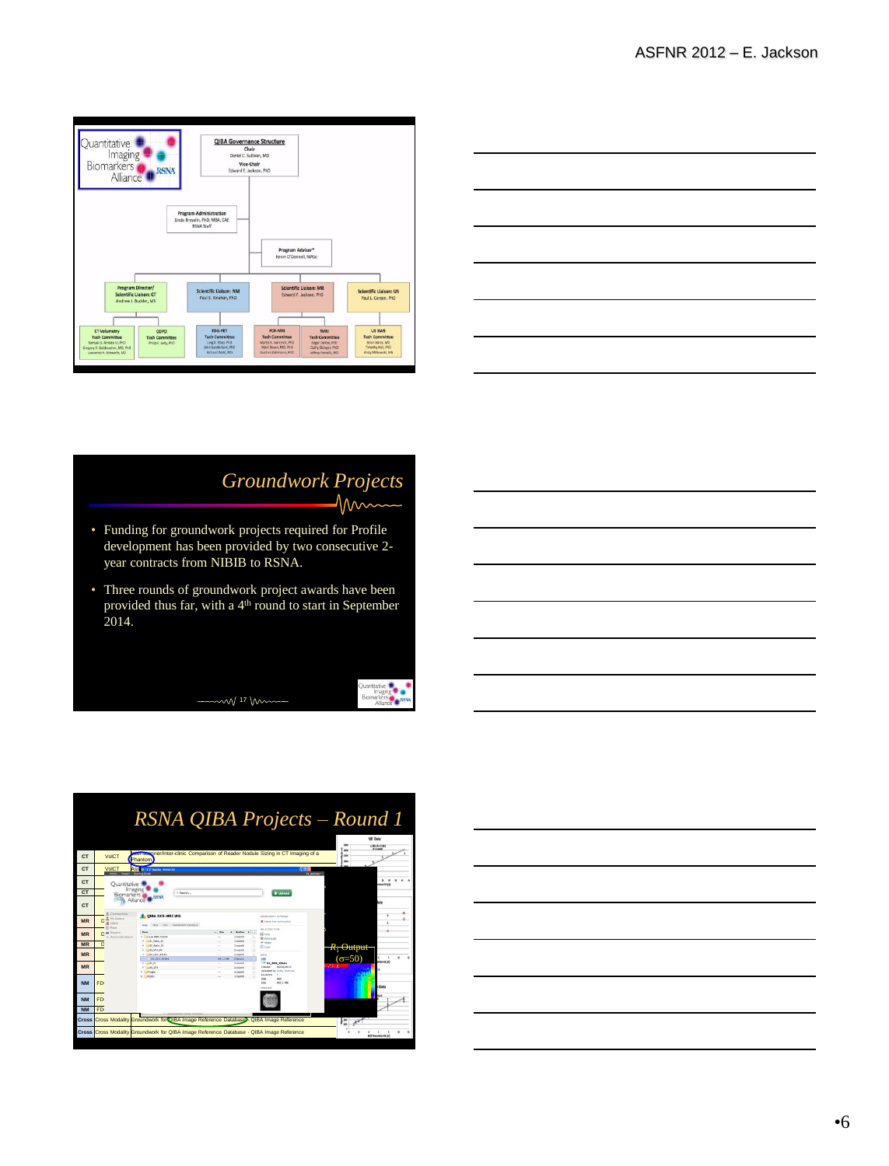

| <u> 1989 - Andrea Andrew Maria (h. 1989).</u> |                                   |
|-----------------------------------------------|-----------------------------------|
|                                               |                                   |
|                                               | _____                             |
|                                               |                                   |
|                                               | the control of the control of the |
| and the state of the state of the             |                                   |

### *Groundwork Projects*  $\Lambda$

**Cuantitative #**<br>
Imaging **#**<br>
Biomarkers<br>
Aliance **#** 

- Funding for groundwork projects required for Profile development has been provided by two consecutive 2 year contracts from NIBIB to RSNA.
- Three rounds of groundwork project awards have been provided thus far, with a 4<sup>th</sup> round to start in September 2014.

m/ 17 m



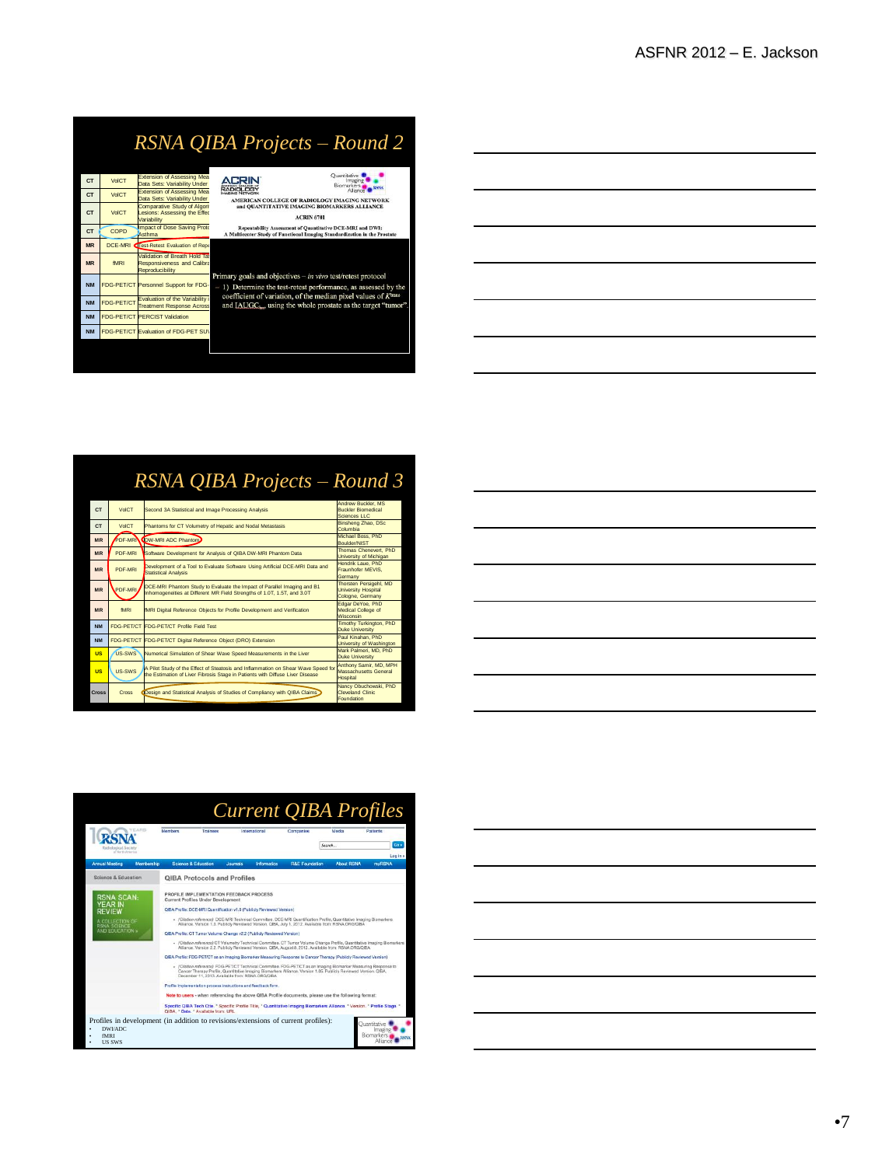# *RSNA QIBA Projects – Round 2*

|           |              | Extension of Assessing Mea                                   | Ouantitative                                                                                  |
|-----------|--------------|--------------------------------------------------------------|-----------------------------------------------------------------------------------------------|
| <b>CT</b> | <b>VolCT</b> | Data Sets: Variability Under                                 | Imaging<br>Biomarkers                                                                         |
| <b>CT</b> | <b>VolCT</b> | Extension of Assessing Mea                                   | <b>RADIOLOGY</b>                                                                              |
|           |              | Data Sets: Variability Under<br>Comparative Study of Algorit | AMERICAN COLLEGE OF RADIOLOGY IMAGING NETWORK<br>and OUANTITATIVE IMAGING BIOMARKERS ALLIANCE |
| <b>CT</b> | <b>VolCT</b> | Lesions: Assessing the Effec                                 |                                                                                               |
|           |              | Variability                                                  | <b>ACRIN 6701</b>                                                                             |
| <b>CT</b> | COPD         | <b>Impact of Dose Saving Proto</b>                           | Repeatability Assessment of Ouantitative DCE-MRI and DWI:                                     |
|           |              | Asthma                                                       | A Multicenter Study of Functional Imaging Standardization in the Prostate                     |
| <b>MR</b> | DCE-MRI      | <b>Cirest-Retest Evaluation of Repe</b>                      |                                                                                               |
|           |              | Validation of Breath Hold Tas                                |                                                                                               |
| <b>MR</b> | <b>fMRI</b>  | Responsiveness and Calibra                                   |                                                                                               |
|           |              | Reproducibility                                              | Primary goals and objectives – in vivo test/retest protocol                                   |
| <b>NM</b> |              | FDG-PET/CT Personnel Support for FDG-                        |                                                                                               |
|           |              |                                                              | $-1$ ) Determine the test-retest performance, as assessed by the                              |
| <b>NM</b> | FDG-PET/CT   | Evaluation of the Variability i                              | coefficient of variation, of the median pixel values of KTrans                                |
|           |              | <b>Treatment Response Across</b>                             | and IAUGC <sub>br</sub> , using the whole prostate as the target "tumor                       |
| <b>NM</b> |              | <b>FDG-PET/CT PERCIST Validation</b>                         |                                                                                               |
|           |              |                                                              |                                                                                               |
| <b>NM</b> |              | FDG-PET/CT Evaluation of FDG-PET SUV                         |                                                                                               |
|           |              |                                                              |                                                                                               |

| <b>CT</b> | <b>VolCT</b>   | Extension of Assessing Mea<br>Data Sets: Variability Under                     | Ouantitative<br>Imagine<br>Biomarkers                                                                                                         |  |
|-----------|----------------|--------------------------------------------------------------------------------|-----------------------------------------------------------------------------------------------------------------------------------------------|--|
| <b>CT</b> | <b>VolCT</b>   | <b>Extension of Assessing Mea</b><br>Data Sets: Variability Under              | RADIOLOGY<br>AMERICAN COLLEGE OF RADIOLOGY IMAGING NETWORK                                                                                    |  |
| <b>CT</b> | <b>VolCT</b>   | Comparative Study of Algorit<br>Lesions: Assessing the Effec<br>Variability    | and OUANTITATIVE IMAGING BIOMARKERS ALLIANCE<br><b>ACRIN 6701</b>                                                                             |  |
| <b>CT</b> | COPD           | Impact of Dose Saving Proto<br>Asthma                                          | <b>Repeatability Assessment of Quantitative DCE-MRI and DWI:</b><br>A Multicenter Study of Functional Imaging Standardization in the Prostate |  |
| <b>MR</b> | <b>DCE-MRI</b> | <b>Cirest-Retest Evaluation of Repe</b>                                        |                                                                                                                                               |  |
| <b>MR</b> | <b>fMRI</b>    | Validation of Breath Hold Tas<br>Responsiveness and Calibra<br>Reproducibility |                                                                                                                                               |  |
| <b>NM</b> |                | FDG-PET/CT Personnel Support for FDG-                                          | Primary goals and objectives - in vivo test/retest protocol<br>1) Determine the test-retest performance, as assessed by the                   |  |
|           |                | Foo pryor Evaluation of the Variability                                        | coefficient of variation, of the median pixel values of K <sup>trans</sup>                                                                    |  |

## *RSNA QIBA Projects – Round 3*

| CT.       | <b>VoICT</b>   | Second 3A Statistical and Image Processing Analysis                                                                                                                | Andrew Buckler, MS<br><b>Buckler Biomedical</b><br>Sciences LLC   |
|-----------|----------------|--------------------------------------------------------------------------------------------------------------------------------------------------------------------|-------------------------------------------------------------------|
| CT.       | <b>VolCT</b>   | Phantoms for CT Volumetry of Hepatic and Nodal Metastasis                                                                                                          | Binsheng Zhao, DSc<br>Columbia                                    |
| <b>MR</b> | <b>PDF-MRI</b> | <b>IDW-MRI ADC Phantom</b>                                                                                                                                         | Michael Boss, PhD<br><b>Boulder/NIST</b>                          |
| <b>MR</b> | PDF-MRI        | Software Development for Analysis of QIBA DW-MRI Phantom Data                                                                                                      | Thomas Chenevert, PhD<br>University of Michigan                   |
| <b>MR</b> | PDF-MRI        | Development of a Tool to Evaluate Software Using Artificial DCE-MRI Data and<br>Statistical Analysis                                                               | Hendrik Laue, PhD<br>Fraunhofer MEVIS.<br>Germany                 |
| <b>MR</b> | PDF-MR         | DCE-MRI Phantom Study to Evaluate the Impact of Parallel Imaging and B1<br>Inhomogeneities at Different MR Field Strengths of 1.0T, 1.5T, and 3.0T                 | Thorsten Persigehl, MD<br>University Hospital<br>Cologne, Germany |
| <b>MR</b> | fMR1           | <b>IMRI Digital Reference Objects for Profile Development and Verification</b>                                                                                     | Edgar DeYoe, PhD<br>Medical College of<br>Wisconsin               |
| <b>NM</b> |                | <b>FDG-PET/CT FDG-PET/CT Profile Field Test</b>                                                                                                                    | Timothy Turkington, PhD<br>Duke University                        |
| <b>NM</b> |                | FDG-PET/CT FDG-PET/CT Digital Reference Object (DRO) Extension                                                                                                     | Paul Kinahan, PhD<br>University of Washington                     |
| <b>US</b> | <b>US-SWS</b>  | Numerical Simulation of Shear Wave Speed Measurements in the Liver                                                                                                 | Mark Palmeri, MD, PhD<br>Duke University                          |
| <b>US</b> | <b>US-SWS</b>  | A Pilot Study of the Effect of Steatosis and Inflammation on Shear Wave Speed for<br>the Estimation of Liver Fibrosis Stage in Patients with Diffuse Liver Disease | Anthony Samir, MD, MPH<br>Massachusetts General<br>Hospital       |
| Cross     | Cross          | Design and Statistical Analysis of Studies of Compliancy with QIBA Claims                                                                                          | Nancy Obuchowski, PhD<br>Cleveland Clinic<br>Foundation           |

| <u> 1989 - Andrea Stadt Britain, amerikansk politiker (d. 1989)</u>                                                   |  | the control of the control of the |
|-----------------------------------------------------------------------------------------------------------------------|--|-----------------------------------|
|                                                                                                                       |  |                                   |
| <u> 1989 - Andrea Santa Andrea Andrea Andrea Andrea Andrea Andrea Andrea Andrea Andrea Andrea Andrea Andrea Andr</u>  |  |                                   |
| <u> 1989 - Johann Harry Harry Harry Harry Harry Harry Harry Harry Harry Harry Harry Harry Harry Harry Harry Harry</u> |  |                                   |
|                                                                                                                       |  |                                   |
| ,我们也不会有什么?""我们的人,我们也不会有什么?""我们的人,我们也不会有什么?""我们的人,我们也不会有什么?""我们的人,我们也不会有什么?""我们的人                                      |  |                                   |